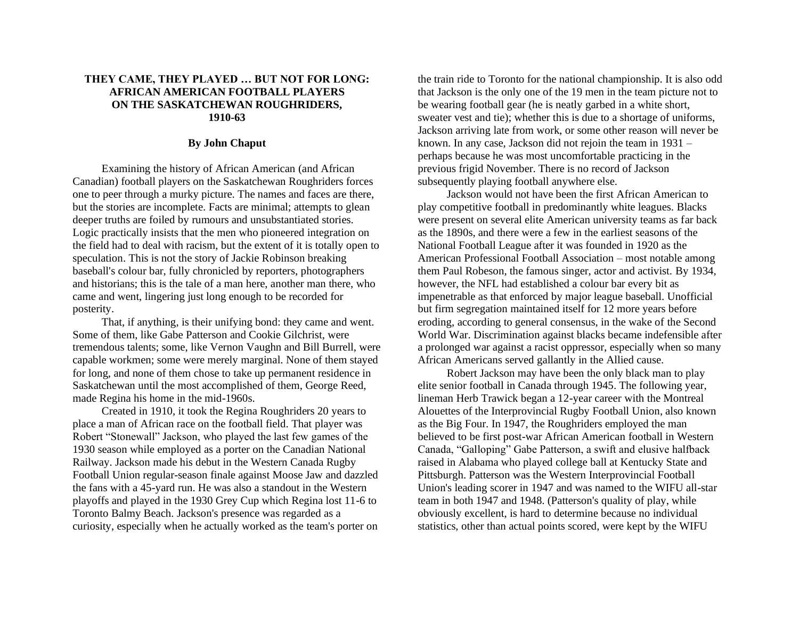## **THEY CAME, THEY PLAYED … BUT NOT FOR LONG: AFRICAN AMERICAN FOOTBALL PLAYERS ON THE SASKATCHEWAN ROUGHRIDERS, 1910-63**

## **By John Chaput**

Examining the history of African American (and African Canadian) football players on the Saskatchewan Roughriders forces one to peer through a murky picture. The names and faces are there, but the stories are incomplete. Facts are minimal; attempts to glean deeper truths are foiled by rumours and unsubstantiated stories. Logic practically insists that the men who pioneered integration on the field had to deal with racism, but the extent of it is totally open to speculation. This is not the story of Jackie Robinson breaking baseball's colour bar, fully chronicled by reporters, photographers and historians; this is the tale of a man here, another man there, who came and went, lingering just long enough to be recorded for posterity.

That, if anything, is their unifying bond: they came and went. Some of them, like Gabe Patterson and Cookie Gilchrist, were tremendous talents; some, like Vernon Vaughn and Bill Burrell, were capable workmen; some were merely marginal. None of them stayed for long, and none of them chose to take up permanent residence in Saskatchewan until the most accomplished of them, George Reed, made Regina his home in the mid-1960s.

Created in 1910, it took the Regina Roughriders 20 years to place a man of African race on the football field. That player was Robert "Stonewall" Jackson, who played the last few games of the 1930 season while employed as a porter on the Canadian National Railway. Jackson made his debut in the Western Canada Rugby Football Union regular-season finale against Moose Jaw and dazzled the fans with a 45-yard run. He was also a standout in the Western playoffs and played in the 1930 Grey Cup which Regina lost 11-6 to Toronto Balmy Beach. Jackson's presence was regarded as a curiosity, especially when he actually worked as the team's porter on

the train ride to Toronto for the national championship. It is also odd that Jackson is the only one of the 19 men in the team picture not to be wearing football gear (he is neatly garbed in a white short, sweater vest and tie); whether this is due to a shortage of uniforms, Jackson arriving late from work, or some other reason will never be known. In any case, Jackson did not rejoin the team in 1931 – perhaps because he was most uncomfortable practicing in the previous frigid November. There is no record of Jackson subsequently playing football anywhere else.

Jackson would not have been the first African American to play competitive football in predominantly white leagues. Blacks were present on several elite American university teams as far back as the 1890s, and there were a few in the earliest seasons of the National Football League after it was founded in 1920 as the American Professional Football Association – most notable among them Paul Robeson, the famous singer, actor and activist. By 1934, however, the NFL had established a colour bar every bit as impenetrable as that enforced by major league baseball. Unofficial but firm segregation maintained itself for 12 more years before eroding, according to general consensus, in the wake of the Second World War. Discrimination against blacks became indefensible after a prolonged war against a racist oppressor, especially when so many African Americans served gallantly in the Allied cause.

Robert Jackson may have been the only black man to play elite senior football in Canada through 1945. The following year, lineman Herb Trawick began a 12-year career with the Montreal Alouettes of the Interprovincial Rugby Football Union, also known as the Big Four. In 1947, the Roughriders employed the man believed to be first post-war African American football in Western Canada, "Galloping" Gabe Patterson, a swift and elusive halfback raised in Alabama who played college ball at Kentucky State and Pittsburgh. Patterson was the Western Interprovincial Football Union's leading scorer in 1947 and was named to the WIFU all-star team in both 1947 and 1948. (Patterson's quality of play, while obviously excellent, is hard to determine because no individual statistics, other than actual points scored, were kept by the WIFU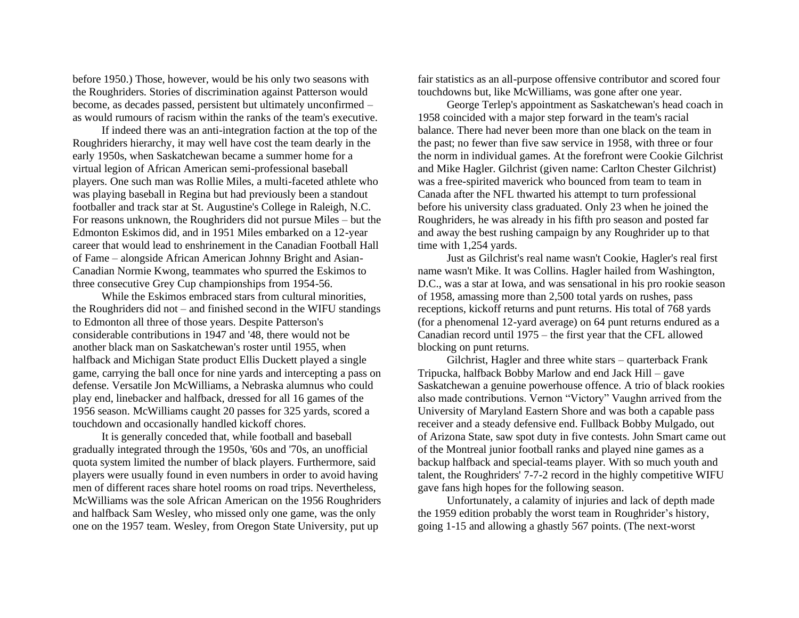before 1950.) Those, however, would be his only two seasons with the Roughriders. Stories of discrimination against Patterson would become, as decades passed, persistent but ultimately unconfirmed – as would rumours of racism within the ranks of the team's executive.

If indeed there was an anti-integration faction at the top of the Roughriders hierarchy, it may well have cost the team dearly in the early 1950s, when Saskatchewan became a summer home for a virtual legion of African American semi-professional baseball players. One such man was Rollie Miles, a multi-faceted athlete who was playing baseball in Regina but had previously been a standout footballer and track star at St. Augustine's College in Raleigh, N.C. For reasons unknown, the Roughriders did not pursue Miles – but the Edmonton Eskimos did, and in 1951 Miles embarked on a 12-year career that would lead to enshrinement in the Canadian Football Hall of Fame – alongside African American Johnny Bright and Asian-Canadian Normie Kwong, teammates who spurred the Eskimos to three consecutive Grey Cup championships from 1954-56.

While the Eskimos embraced stars from cultural minorities, the Roughriders did not – and finished second in the WIFU standings to Edmonton all three of those years. Despite Patterson's considerable contributions in 1947 and '48, there would not be another black man on Saskatchewan's roster until 1955, when halfback and Michigan State product Ellis Duckett played a single game, carrying the ball once for nine yards and intercepting a pass on defense. Versatile Jon McWilliams, a Nebraska alumnus who could play end, linebacker and halfback, dressed for all 16 games of the 1956 season. McWilliams caught 20 passes for 325 yards, scored a touchdown and occasionally handled kickoff chores.

It is generally conceded that, while football and baseball gradually integrated through the 1950s, '60s and '70s, an unofficial quota system limited the number of black players. Furthermore, said players were usually found in even numbers in order to avoid having men of different races share hotel rooms on road trips. Nevertheless, McWilliams was the sole African American on the 1956 Roughriders and halfback Sam Wesley, who missed only one game, was the only one on the 1957 team. Wesley, from Oregon State University, put up

fair statistics as an all-purpose offensive contributor and scored four touchdowns but, like McWilliams, was gone after one year.

George Terlep's appointment as Saskatchewan's head coach in 1958 coincided with a major step forward in the team's racial balance. There had never been more than one black on the team in the past; no fewer than five saw service in 1958, with three or four the norm in individual games. At the forefront were Cookie Gilchrist and Mike Hagler. Gilchrist (given name: Carlton Chester Gilchrist) was a free-spirited maverick who bounced from team to team in Canada after the NFL thwarted his attempt to turn professional before his university class graduated. Only 23 when he joined the Roughriders, he was already in his fifth pro season and posted far and away the best rushing campaign by any Roughrider up to that time with 1,254 yards.

Just as Gilchrist's real name wasn't Cookie, Hagler's real first name wasn't Mike. It was Collins. Hagler hailed from Washington, D.C., was a star at Iowa, and was sensational in his pro rookie season of 1958, amassing more than 2,500 total yards on rushes, pass receptions, kickoff returns and punt returns. His total of 768 yards (for a phenomenal 12-yard average) on 64 punt returns endured as a Canadian record until 1975 – the first year that the CFL allowed blocking on punt returns.

Gilchrist, Hagler and three white stars – quarterback Frank Tripucka, halfback Bobby Marlow and end Jack Hill – gave Saskatchewan a genuine powerhouse offence. A trio of black rookies also made contributions. Vernon "Victory" Vaughn arrived from the University of Maryland Eastern Shore and was both a capable pass receiver and a steady defensive end. Fullback Bobby Mulgado, out of Arizona State, saw spot duty in five contests. John Smart came out of the Montreal junior football ranks and played nine games as a backup halfback and special-teams player. With so much youth and talent, the Roughriders' 7-7-2 record in the highly competitive WIFU gave fans high hopes for the following season.

Unfortunately, a calamity of injuries and lack of depth made the 1959 edition probably the worst team in Roughrider's history, going 1-15 and allowing a ghastly 567 points. (The next-worst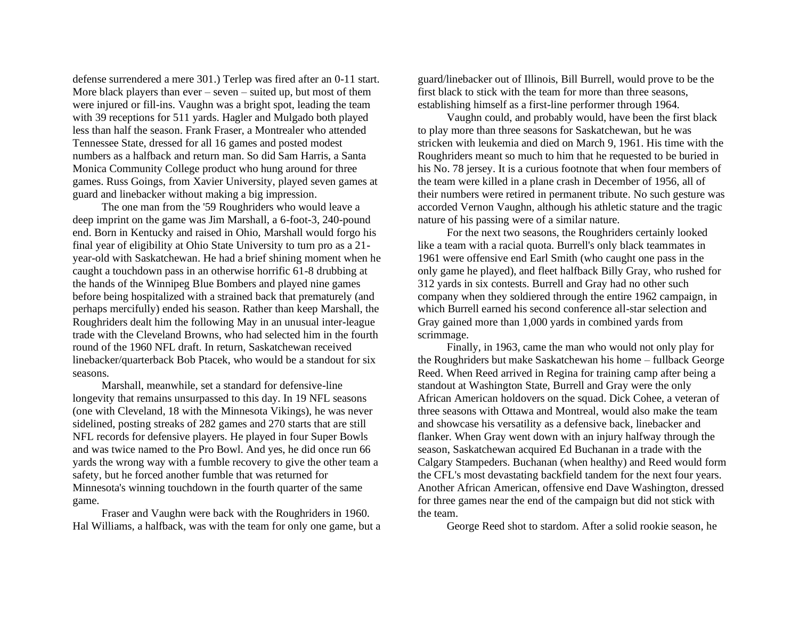defense surrendered a mere 301.) Terlep was fired after an 0-11 start. More black players than ever – seven – suited up, but most of them were injured or fill-ins. Vaughn was a bright spot, leading the team with 39 receptions for 511 yards. Hagler and Mulgado both played less than half the season. Frank Fraser, a Montrealer who attended Tennessee State, dressed for all 16 games and posted modest numbers as a halfback and return man. So did Sam Harris, a Santa Monica Community College product who hung around for three games. Russ Goings, from Xavier University, played seven games at guard and linebacker without making a big impression.

The one man from the '59 Roughriders who would leave a deep imprint on the game was Jim Marshall, a 6-foot-3, 240-pound end. Born in Kentucky and raised in Ohio, Marshall would forgo his final year of eligibility at Ohio State University to turn pro as a 21 year-old with Saskatchewan. He had a brief shining moment when he caught a touchdown pass in an otherwise horrific 61-8 drubbing at the hands of the Winnipeg Blue Bombers and played nine games before being hospitalized with a strained back that prematurely (and perhaps mercifully) ended his season. Rather than keep Marshall, the Roughriders dealt him the following May in an unusual inter-league trade with the Cleveland Browns, who had selected him in the fourth round of the 1960 NFL draft. In return, Saskatchewan received linebacker/quarterback Bob Ptacek, who would be a standout for six seasons.

Marshall, meanwhile, set a standard for defensive-line longevity that remains unsurpassed to this day. In 19 NFL seasons (one with Cleveland, 18 with the Minnesota Vikings), he was never sidelined, posting streaks of 282 games and 270 starts that are still NFL records for defensive players. He played in four Super Bowls and was twice named to the Pro Bowl. And yes, he did once run 66 yards the wrong way with a fumble recovery to give the other team a safety, but he forced another fumble that was returned for Minnesota's winning touchdown in the fourth quarter of the same game.

Fraser and Vaughn were back with the Roughriders in 1960. Hal Williams, a halfback, was with the team for only one game, but a guard/linebacker out of Illinois, Bill Burrell, would prove to be the first black to stick with the team for more than three seasons, establishing himself as a first-line performer through 1964.

Vaughn could, and probably would, have been the first black to play more than three seasons for Saskatchewan, but he was stricken with leukemia and died on March 9, 1961. His time with the Roughriders meant so much to him that he requested to be buried in his No. 78 jersey. It is a curious footnote that when four members of the team were killed in a plane crash in December of 1956, all of their numbers were retired in permanent tribute. No such gesture was accorded Vernon Vaughn, although his athletic stature and the tragic nature of his passing were of a similar nature.

For the next two seasons, the Roughriders certainly looked like a team with a racial quota. Burrell's only black teammates in 1961 were offensive end Earl Smith (who caught one pass in the only game he played), and fleet halfback Billy Gray, who rushed for 312 yards in six contests. Burrell and Gray had no other such company when they soldiered through the entire 1962 campaign, in which Burrell earned his second conference all-star selection and Gray gained more than 1,000 yards in combined yards from scrimmage.

Finally, in 1963, came the man who would not only play for the Roughriders but make Saskatchewan his home – fullback George Reed. When Reed arrived in Regina for training camp after being a standout at Washington State, Burrell and Gray were the only African American holdovers on the squad. Dick Cohee, a veteran of three seasons with Ottawa and Montreal, would also make the team and showcase his versatility as a defensive back, linebacker and flanker. When Gray went down with an injury halfway through the season, Saskatchewan acquired Ed Buchanan in a trade with the Calgary Stampeders. Buchanan (when healthy) and Reed would form the CFL's most devastating backfield tandem for the next four years. Another African American, offensive end Dave Washington, dressed for three games near the end of the campaign but did not stick with the team.

George Reed shot to stardom. After a solid rookie season, he